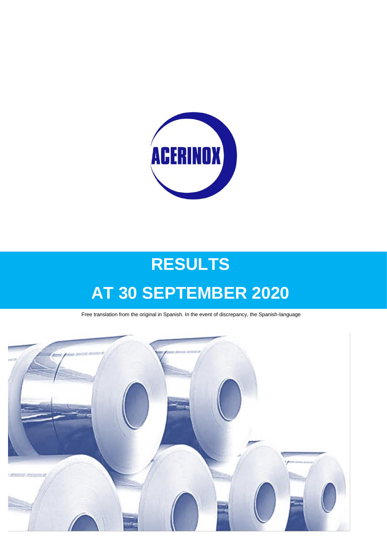

# **RESULTS AT 30 SEPTEMBER 2020**

Free translation from the original in Spanish. In the event of discrepancy, the Spanish-language

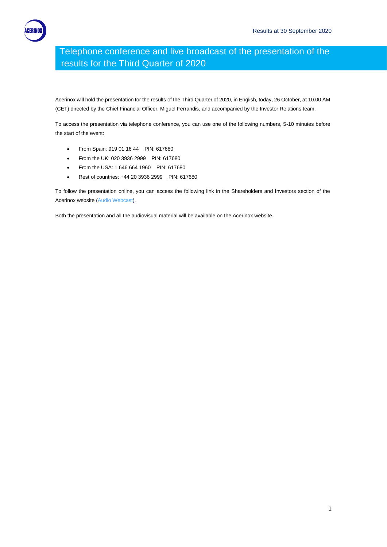# Telephone conference and live broadcast of the presentation of the results for the Third Quarter of 2020

Acerinox will hold the presentation for the results of the Third Quarter of 2020, in English, today, 26 October, at 10.00 AM (CET) directed by the Chief Financial Officer, Miguel Ferrandis, and accompanied by the Investor Relations team.

To access the presentation via telephone conference, you can use one of the following numbers, 5-10 minutes before the start of the event:

- From Spain: 919 01 16 44 PIN: 617680
- From the UK: 020 3936 2999 PIN: 617680
- From the USA: 1 646 664 1960 PIN: 617680
- Rest of countries: +44 20 3936 2999 PIN: 617680

To follow the presentation online, you can access the following link in the Shareholders and Investors section of the Acerinox website [\(Audio Webcast\)](https://streamstudio.world-television.com/757-945-25601/en).

Both the presentation and all the audiovisual material will be available on the Acerinox website.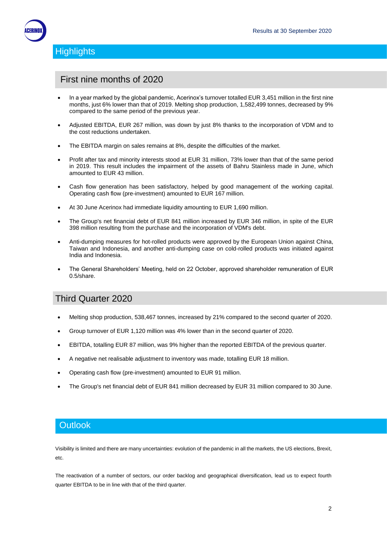

## First nine months of 2020

- In a year marked by the global pandemic, Acerinox's turnover totalled EUR 3,451 million in the first nine months, just 6% lower than that of 2019. Melting shop production, 1,582,499 tonnes, decreased by 9% compared to the same period of the previous year.
- Adjusted EBITDA, EUR 267 million, was down by just 8% thanks to the incorporation of VDM and to the cost reductions undertaken.
- The EBITDA margin on sales remains at 8%, despite the difficulties of the market.
- Profit after tax and minority interests stood at EUR 31 million, 73% lower than that of the same period in 2019. This result includes the impairment of the assets of Bahru Stainless made in June, which amounted to EUR 43 million.
- Cash flow generation has been satisfactory, helped by good management of the working capital. Operating cash flow (pre-investment) amounted to EUR 167 million.
- At 30 June Acerinox had immediate liquidity amounting to EUR 1,690 million.
- The Group's net financial debt of EUR 841 million increased by EUR 346 million, in spite of the EUR 398 million resulting from the purchase and the incorporation of VDM's debt.
- Anti-dumping measures for hot-rolled products were approved by the European Union against China, Taiwan and Indonesia, and another anti-dumping case on cold-rolled products was initiated against India and Indonesia.
- The General Shareholders' Meeting, held on 22 October, approved shareholder remuneration of EUR 0.5/share.

## Third Quarter 2020

- Melting shop production, 538,467 tonnes, increased by 21% compared to the second quarter of 2020.
- Group turnover of EUR 1,120 million was 4% lower than in the second quarter of 2020.
- EBITDA, totalling EUR 87 million, was 9% higher than the reported EBITDA of the previous quarter.
- A negative net realisable adjustment to inventory was made, totalling EUR 18 million.
- Operating cash flow (pre-investment) amounted to EUR 91 million.
- The Group's net financial debt of EUR 841 million decreased by EUR 31 million compared to 30 June.

## **Outlook**

Visibility is limited and there are many uncertainties: evolution of the pandemic in all the markets, the US elections, Brexit, etc.

The reactivation of a number of sectors, our order backlog and geographical diversification, lead us to expect fourth quarter EBITDA to be in line with that of the third quarter.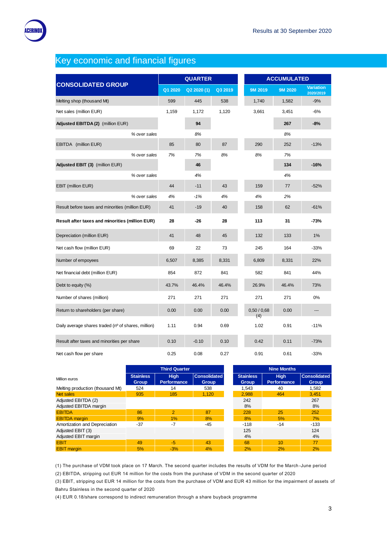# Key economic and financial figures

|                                                     | <b>QUARTER</b> |             |         |  | <b>ACCUMULATED</b> |         |                               |  |
|-----------------------------------------------------|----------------|-------------|---------|--|--------------------|---------|-------------------------------|--|
| <b>CONSOLIDATED GROUP</b>                           | Q1 2020        | Q2 2020 (1) | Q3 2019 |  | 9M 2019            | 9M 2020 | <b>Variation</b><br>2020/2019 |  |
| Melting shop (thousand Mt)                          | 599            | 445         | 538     |  | 1,740              | 1,582   | $-9%$                         |  |
| Net sales (million EUR)                             | 1,159          | 1,172       | 1,120   |  | 3,661              | 3,451   | $-6%$                         |  |
| Adjusted EBITDA (2) (million EUR)                   |                | 94          |         |  |                    | 267     | $-8%$                         |  |
| % over sales                                        |                | 8%          |         |  |                    | 8%      |                               |  |
| EBITDA (million EUR)                                | 85             | 80          | 87      |  | 290                | 252     | $-13%$                        |  |
| % over sales                                        | 7%             | 7%          | 8%      |  | 8%                 | 7%      |                               |  |
| Adjusted EBIT (3) (million EUR)                     |                | 46          |         |  |                    | 134     | $-16%$                        |  |
| % over sales                                        |                | 4%          |         |  |                    | 4%      |                               |  |
| EBIT (million EUR)                                  | 44             | $-11$       | 43      |  | 159                | 77      | $-52%$                        |  |
| % over sales                                        | 4%             | $-1%$       | 4%      |  | 4%                 | 2%      |                               |  |
| Result before taxes and minorities (million EUR)    | 41             | $-19$       | 40      |  | 158                | 62      | $-61%$                        |  |
| Result after taxes and minorities (million EUR)     | 28             | $-26$       | 28      |  | 113                | 31      | $-73%$                        |  |
| Depreciation (million EUR)                          | 41             | 48          | 45      |  | 132                | 133     | 1%                            |  |
| Net cash flow (million EUR)                         | 69             | 22          | 73      |  | 245                | 164     | $-33%$                        |  |
| Number of empoyees                                  | 6,507          | 8,385       | 8,331   |  | 6,809              | 8,331   | 22%                           |  |
| Net financial debt (million EUR)                    | 854            | 872         | 841     |  | 582                | 841     | 44%                           |  |
| Debt to equity (%)                                  | 43.7%          | 46.4%       | 46.4%   |  | 26.9%              | 46.4%   | 73%                           |  |
| Number of shares (million)                          | 271            | 271         | 271     |  | 271                | 271     | 0%                            |  |
| Return to shareholders (per share)                  | 0.00           | 0.00        | 0.00    |  | 0,50/0,68<br>(4)   | 0.00    | ---                           |  |
| Daily average shares traded (nº of shares, million) | 1.11           | 0.94        | 0.69    |  | 1.02               | 0.91    | $-11%$                        |  |
| Result after taxes and minorities per share         | 0.10           | $-0.10$     | 0.10    |  | 0.42               | 0.11    | $-73%$                        |  |
| Net cash flow per share                             | 0.25           | 0.08        | 0.27    |  | 0.91               | 0.61    | $-33%$                        |  |

|                                  | <b>Third Quarter</b>      |                                   |                                     |  | <b>Nine Months</b>        |                                   |                                     |  |
|----------------------------------|---------------------------|-----------------------------------|-------------------------------------|--|---------------------------|-----------------------------------|-------------------------------------|--|
| Million euros                    | <b>Stainless</b><br>Group | <b>High</b><br><b>Performance</b> | <b>Consolidated</b><br><b>Group</b> |  | <b>Stainless</b><br>Group | <b>High</b><br><b>Performance</b> | <b>Consolidated</b><br><b>Group</b> |  |
| Melting production (thousand Mt) | 524                       | 14                                | 538                                 |  | 1.543                     | 40                                | 1,582                               |  |
| <b>Net sales</b>                 | 935                       | 185                               | 1.120                               |  | 2.988                     | 464                               | 3,451                               |  |
| Adjusted EBITDA (2)              |                           |                                   |                                     |  | 242                       |                                   | 267                                 |  |
| Adjusted EBITDA margin           |                           |                                   |                                     |  | 8%                        |                                   | 8%                                  |  |
| <b>EBITDA</b>                    | 86                        | $\overline{2}$                    | 87                                  |  | 228                       | 25                                | 252                                 |  |
| <b>EBITDA</b> margin             | 9%                        | 1%                                | 8%                                  |  | 8%                        | 5%                                | 7%                                  |  |
| Amortization and Depreciation    | $-37$                     | $-7$                              | $-45$                               |  | $-118$                    | $-14$                             | $-133$                              |  |
| Adjusted EBIT (3)                |                           |                                   |                                     |  | 125                       |                                   | 124                                 |  |
| Adjusted EBIT margin             |                           |                                   |                                     |  | 4%                        |                                   | 4%                                  |  |
| <b>EBIT</b>                      | 49                        | $-5$                              | 43                                  |  | 68                        | 10                                | 77                                  |  |
| <b>EBIT</b> margin               | 5%                        | $-3%$                             | 4%                                  |  | 2%                        | 2%                                | 2%                                  |  |

(1) The purchase of VDM took place on 17 March. The second quarter includes the results of VDM for the March -June period (2) EBITDA, stripping out EUR 14 million for the costs from the purchase of VDM in the second quarter of 2020

(3) EBIT, stripping out EUR 14 million for the costs from the purchase of VDM and EUR 43 million for the impairment of assets of Bahru Stainless in the second quarter of 2020

(4) EUR 0.18/share correspond to indirect remuneration through a share buyback programme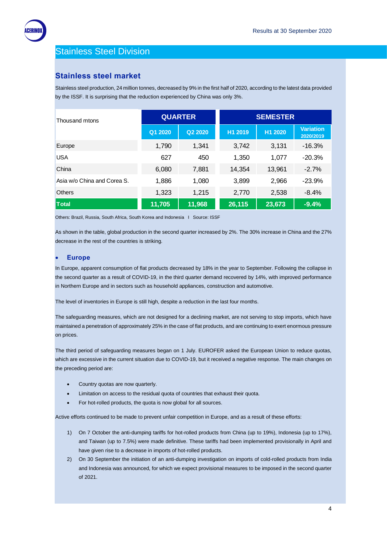

# Stainless Steel Division

## **Stainless steel market**

Stainless steel production, 24 million tonnes, decreased by 9% in the first half of 2020, according to the latest data provided by the ISSF. It is surprising that the reduction experienced by China was only 3%.

| Thousand mtons              |         | <b>QUARTER</b> |         | <b>SEMESTER</b> |                               |  |  |  |
|-----------------------------|---------|----------------|---------|-----------------|-------------------------------|--|--|--|
|                             | Q1 2020 | Q2 2020        | H1 2019 | H1 2020         | <b>Variation</b><br>2020/2019 |  |  |  |
| Europe                      | 1,790   | 1,341          | 3,742   | 3,131           | $-16.3%$                      |  |  |  |
| <b>USA</b>                  | 627     | 450            | 1,350   | 1,077           | $-20.3%$                      |  |  |  |
| China                       | 6,080   | 7,881          | 14,354  | 13,961          | $-2.7%$                       |  |  |  |
| Asia w/o China and Corea S. | 1,886   | 1,080          | 3,899   | 2,966           | $-23.9%$                      |  |  |  |
| <b>Others</b>               | 1,323   | 1,215          | 2,770   | 2,538           | $-8.4%$                       |  |  |  |
| Total                       | 11,705  | 11,968         | 26,115  | 23,673          | $-9.4%$                       |  |  |  |

Others: Brazil, Russia, South Africa, South Korea and Indonesia I Source: ISSF

As shown in the table, global production in the second quarter increased by 2%. The 30% increase in China and the 27% decrease in the rest of the countries is striking.

#### **Europe**

In Europe, apparent consumption of flat products decreased by 18% in the year to September. Following the collapse in the second quarter as a result of COVID-19, in the third quarter demand recovered by 14%, with improved performance in Northern Europe and in sectors such as household appliances, construction and automotive.

The level of inventories in Europe is still high, despite a reduction in the last four months.

The safeguarding measures, which are not designed for a declining market, are not serving to stop imports, which have maintained a penetration of approximately 25% in the case of flat products, and are continuing to exert enormous pressure on prices.

The third period of safeguarding measures began on 1 July. EUROFER asked the European Union to reduce quotas, which are excessive in the current situation due to COVID-19, but it received a negative response. The main changes on the preceding period are:

- Country quotas are now quarterly.
- Limitation on access to the residual quota of countries that exhaust their quota.
- For hot-rolled products, the quota is now global for all sources.

Active efforts continued to be made to prevent unfair competition in Europe, and as a result of these efforts:

- 1) On 7 October the anti-dumping tariffs for hot-rolled products from China (up to 19%), Indonesia (up to 17%), and Taiwan (up to 7.5%) were made definitive. These tariffs had been implemented provisionally in April and have given rise to a decrease in imports of hot-rolled products.
- 2) On 30 September the initiation of an anti-dumping investigation on imports of cold-rolled products from India and Indonesia was announced, for which we expect provisional measures to be imposed in the second quarter of 2021.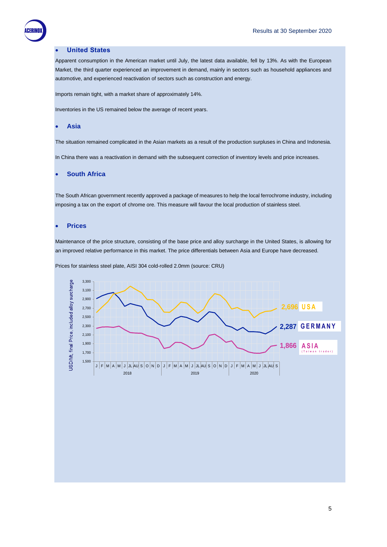

#### **United States**

Apparent consumption in the American market until July, the latest data available, fell by 13%. As with the European Market, the third quarter experienced an improvement in demand, mainly in sectors such as household appliances and automotive, and experienced reactivation of sectors such as construction and energy.

Imports remain tight, with a market share of approximately 14%.

Inventories in the US remained below the average of recent years.

#### **Asia**

The situation remained complicated in the Asian markets as a result of the production surpluses in China and Indonesia.

In China there was a reactivation in demand with the subsequent correction of inventory levels and price increases.

#### **South Africa**

The South African government recently approved a package of measures to help the local ferrochrome industry, including imposing a tax on the export of chrome ore. This measure will favour the local production of stainless steel.

#### **Prices**

Maintenance of the price structure, consisting of the base price and alloy surcharge in the United States, is allowing for an improved relative performance in this market. The price differentials between Asia and Europe have decreased.

Prices for stainless steel plate, AISI 304 cold-rolled 2.0mm (source: CRU)

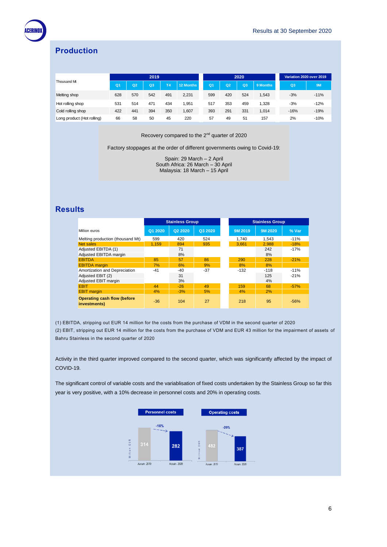## **Production**

|                            |                |                | 2019 |                |           |                |                | 2020 |          | Variation 2020 over 2019 |        |
|----------------------------|----------------|----------------|------|----------------|-----------|----------------|----------------|------|----------|--------------------------|--------|
| Thousand Mt                | Q <sub>1</sub> | Q <sub>2</sub> | Q3.  | T <sub>4</sub> | 12 Months | Q <sub>1</sub> | Q <sub>2</sub> | Q3   | 9 Months | Q3                       | 9M     |
| Melting shop               | 628            | 570            | 542  | 491            | 2,231     | 599            | 420            | 524  | 1,543    | $-3%$                    | $-11%$ |
| Hot rolling shop           | 531            | 514            | 471  | 434            | 1,951     | 517            | 353            | 459  | 1,328    | $-3%$                    | $-12%$ |
| Cold rolling shop          | 422            | 441            | 394  | 350            | 1,607     | 393            | 291            | 331  | 1,014    | $-16%$                   | $-19%$ |
| Long product (Hot rolling) | 66             | 58             | 50   | 45             | 220       | 57             | 49             | 51   | 157      | 2%                       | $-10%$ |

#### Recovery compared to the 2<sup>nd</sup> quarter of 2020

#### Factory stoppages at the order of different governments owing to Covid-19:

Spain: 29 March – 2 April South Africa: 26 March – 30 April Malaysia: 18 March – 15 April

## **Results**

|                                             | <b>Stainless Group</b> |         |         | <b>Stainless Group</b> |         |        |
|---------------------------------------------|------------------------|---------|---------|------------------------|---------|--------|
| Million euros                               | Q1 2020                | Q2 2020 | Q3 2020 | 9M 2019                | 9M 2020 | % Var  |
| Melting production (thousand Mt)            | 599                    | 420     | 524     | 1.740                  | 1.543   | $-11%$ |
| Net sales                                   | 1.159                  | 894     | 935     | 3.661                  | 2,988   | $-18%$ |
| Adjusted EBITDA (1)                         |                        | 71      |         |                        | 242     | $-17%$ |
| Adiusted EBITDA margin                      |                        | 8%      |         |                        | 8%      |        |
| <b>EBITDA</b>                               | 85                     | 57      | 86      | 290                    | 228     | $-21%$ |
| <b>EBITDA</b> margin                        | 7%                     | 6%      | 9%      | 8%                     | 8%      |        |
| Amortization and Depreciation               | $-41$                  | $-40$   | $-37$   | $-132$                 | $-118$  | $-11%$ |
| Adjusted EBIT (2)                           |                        | 31      |         |                        | 125     | $-21%$ |
| Adjusted EBIT margin                        |                        | 3%      |         |                        | 4%      |        |
| <b>EBIT</b>                                 | 44                     | $-26$   | 49      | 159                    | 68      | $-57%$ |
| <b>EBIT</b> margin                          | 4%                     | $-3%$   | 5%      | 4%                     | 2%      |        |
| Operating cash flow (before<br>investments) | $-36$                  | 104     | 27      | 218                    | 95      | $-56%$ |

(1) EBITDA, stripping out EUR 14 million for the costs from the purchase of VDM in the second quarter of 2020 (2) EBIT, stripping out EUR 14 million for the costs from the purchase of VDM and EUR 43 million for the impairment of assets of Bahru Stainless in the second quarter of 2020

Activity in the third quarter improved compared to the second quarter, which was significantly affected by the impact of COVID-19.

The significant control of variable costs and the variablisation of fixed costs undertaken by the Stainless Group so far this year is very positive, with a 10% decrease in personnel costs and 20% in operating costs.

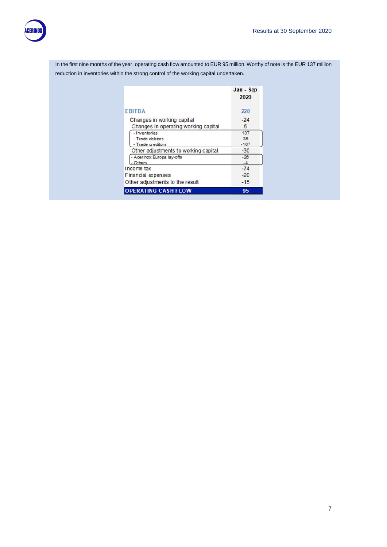

In the first nine months of the year, operating cash flow amounted to EUR 95 million. Worthy of note is the EUR 137 million reduction in inventories within the strong control of the working capital undertaken.

|                                      | Jan - Sep<br>2020 |
|--------------------------------------|-------------------|
| <b>EBITDA</b>                        | 228               |
| Changes in working capital           | $-24$             |
| Changes in operating working capital | 5                 |
| - Inventories                        | 137               |
| - Trade debtors                      | 35                |
| - Trade creditors                    | $-167$            |
| Other adjustments to working capital | $-30$             |
| - Acerinox Europa lay-offs           | $-26$             |
| - Others                             | $-4$              |
| Income tax                           | $-74$             |
| Financial expenses                   | $-20$             |
| Other adjustments to the result      | $-15$             |
| <b>PERATING CASH FLOW</b>            | 95                |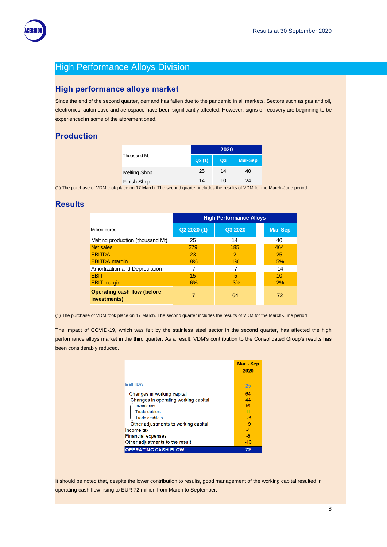

# High Performance Alloys Division

## **High performance alloys market**

Since the end of the second quarter, demand has fallen due to the pandemic in all markets. Sectors such as gas and oil, electronics, automotive and aerospace have been significantly affected. However, signs of recovery are beginning to be experienced in some of the aforementioned.

## **Production**

| Thousand Mt         | 2020  |                |                |  |  |  |  |
|---------------------|-------|----------------|----------------|--|--|--|--|
|                     | Q2(1) | Q <sub>3</sub> | <b>Mar-Sep</b> |  |  |  |  |
| <b>Melting Shop</b> | 25    | 14             | 40             |  |  |  |  |
| Finish Shop         | 14    | 10             | 24             |  |  |  |  |

(1) The purchase of VDM took place on 17 March. The second quarter includes the results of VDM for the March-June period

## **Results**

|                                                    | <b>High Performance Alloys</b> |               |                |  |  |  |  |  |
|----------------------------------------------------|--------------------------------|---------------|----------------|--|--|--|--|--|
| Million euros                                      | Q2 2020 (1)                    | Q3 2020       | <b>Mar-Sep</b> |  |  |  |  |  |
| Melting production (thousand Mt)                   | 25                             | 14            | 40             |  |  |  |  |  |
| <b>Net sales</b>                                   | 279                            | 185           | 464            |  |  |  |  |  |
| <b>EBITDA</b>                                      | 23                             | $\mathcal{P}$ | 25             |  |  |  |  |  |
| <b>EBITDA</b> margin                               | 8%                             | $1\%$         | 5%             |  |  |  |  |  |
| Amortization and Depreciation                      | -7                             | -7            | $-14$          |  |  |  |  |  |
| <b>FBIT</b>                                        | 15                             | $-5$          | 10             |  |  |  |  |  |
| <b>EBIT</b> margin                                 | 6%                             | $-3%$         | 2%             |  |  |  |  |  |
| <b>Operating cash flow (before</b><br>investments) | 7                              | 64            | 72             |  |  |  |  |  |

(1) The purchase of VDM took place on 17 March. The second quarter includes the results of VDM for the March-June period

The impact of COVID-19, which was felt by the stainless steel sector in the second quarter, has affected the high performance alloys market in the third quarter. As a result, VDM's contribution to the Consolidated Group's results has been considerably reduced.

|                                      | <b>Mar</b> - Sep<br>2020 |
|--------------------------------------|--------------------------|
| <b>EBITDA</b>                        | 25                       |
| Changes in working capital           | 64                       |
| Changes in operating working capital | 44                       |
| - Inventories                        | 59                       |
| - Trade debtors                      | 11                       |
| - Trade creditors                    | $-26$                    |
| Other adjustments to working capital | 19                       |
| Income tax                           | $-1$                     |
| <b>Financial expenses</b>            | -5                       |
| Other adjustments to the result      | $-10$                    |
| <b>OPERATING CASH FLOW</b>           | 72                       |

It should be noted that, despite the lower contribution to results, good management of the working capital resulted in operating cash flow rising to EUR 72 million from March to September.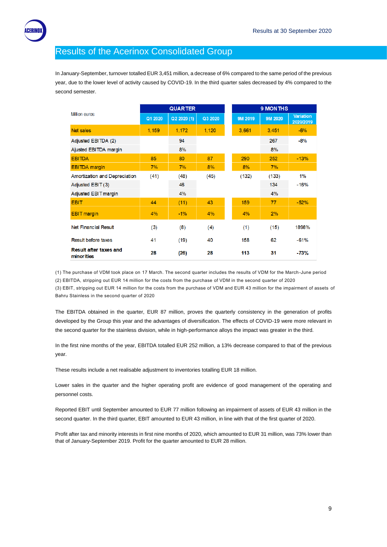# Results of the Acerinox Consolidated Group

In January-September, turnover totalled EUR 3,451 million, a decrease of 6% compared to the same period of the previous year, due to the lower level of activity caused by COVID-19. In the third quarter sales decreased by 4% compared to the second semester.

|                                      | <b>QUARTER</b> |             |         |  | 9 MONTHS |         |                        |  |  |
|--------------------------------------|----------------|-------------|---------|--|----------|---------|------------------------|--|--|
| Million euros                        | Q1 2020        | Q2 2020 (1) | Q3 2020 |  | 9M 2019  | 9M 2020 | Variation<br>2020/2019 |  |  |
| <b>Net sales</b>                     | 1.159          | 1.172       | 1.120   |  | 3.661    | 3,451   | $-6%$                  |  |  |
| Adjusted EBITDA (2)                  |                | 94          |         |  |          | 267     | $-8%$                  |  |  |
| Ajusted EBITDA margin                |                | 8%          |         |  |          | 8%      |                        |  |  |
| <b>EBITDA</b>                        | 85             | 80          | 87      |  | 290      | 252     | $-13%$                 |  |  |
| <b>EBITDA</b> margin                 | 7%             | 7%          | 8%      |  | 8%       | 7%      |                        |  |  |
| Amortization and Depreciation        | (41)           | (48)        | (45)    |  | (132)    | (133)   | 1%                     |  |  |
| Adjusted EBIT (3)                    |                | 46          |         |  |          | 134     | $-16%$                 |  |  |
| Adjusted EBIT margin                 |                | 4%          |         |  |          | 4%      |                        |  |  |
| <b>EBIT</b>                          | 44             | (11)        | 43      |  | 159      | 77      | $-52%$                 |  |  |
| <b>EBIT</b> margin                   | 4%             | $-1%$       | 4%      |  | $4\%$    | 2%      |                        |  |  |
| Net Financial Result                 | (3)            | (8)         | (4)     |  | (1)      | (15)    | 1898%                  |  |  |
| Result before taxes                  | 41             | (19)        | 40      |  | 158      | 62      | $-61%$                 |  |  |
| Result after taxes and<br>minorities | 28             | (26)        | 28      |  | 113      | 31      | $-73%$                 |  |  |

(1) The purchase of VDM took place on 17 March. The second quarter includes the results of VDM for the March-June period (2) EBITDA, stripping out EUR 14 million for the costs from the purchase of VDM in the second quarter of 2020 (3) EBIT, stripping out EUR 14 million for the costs from the purchase of VDM and EUR 43 million for the impairment of assets of Bahru Stainless in the second quarter of 2020

The EBITDA obtained in the quarter, EUR 87 million, proves the quarterly consistency in the generation of profits developed by the Group this year and the advantages of diversification. The effects of COVID-19 were more relevant in the second quarter for the stainless division, while in high-performance alloys the impact was greater in the third.

In the first nine months of the year, EBITDA totalled EUR 252 million, a 13% decrease compared to that of the previous year.

These results include a net realisable adjustment to inventories totalling EUR 18 million.

Lower sales in the quarter and the higher operating profit are evidence of good management of the operating and personnel costs.

Reported EBIT until September amounted to EUR 77 million following an impairment of assets of EUR 43 million in the second quarter. In the third quarter, EBIT amounted to EUR 43 million, in line with that of the first quarter of 2020.

Profit after tax and minority interests in first nine months of 2020, which amounted to EUR 31 million, was 73% lower than that of January-September 2019. Profit for the quarter amounted to EUR 28 million.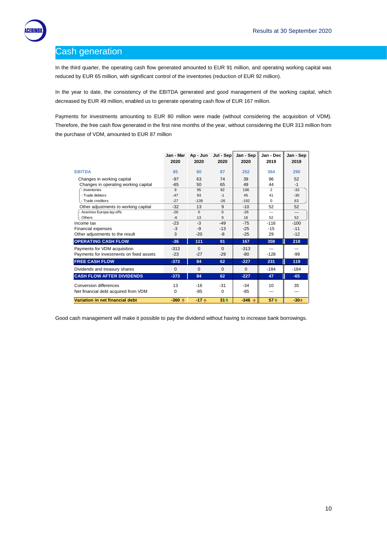

## Cash generation

In the third quarter, the operating cash flow generated amounted to EUR 91 million, and operating working capital was reduced by EUR 65 million, with significant control of the inventories (reduction of EUR 92 million).

In the year to date, the consistency of the EBITDA generated and good management of the working capital, which decreased by EUR 49 million, enabled us to generate operating cash flow of EUR 167 million.

Payments for investments amounting to EUR 80 million were made (without considering the acquisition of VDM). Therefore, the free cash flow generated in the first nine months of the year, without considering the EUR 313 million from the purchase of VDM, amounted to EUR 87 million

|                                                                            | Jan - Mar<br>2020   | Ap - Jun<br>2020      | Jul - Sep<br>2020    | Jan - Sep<br>2020       | Jan - Dec<br>2019                | Jan - Sep<br>2019        |
|----------------------------------------------------------------------------|---------------------|-----------------------|----------------------|-------------------------|----------------------------------|--------------------------|
| <b>EBITDA</b>                                                              | 85                  | 80                    | 87                   | 252                     | 364                              | 290                      |
| Changes in working capital<br>Changes in operating working capital         | $-97$<br>$-65$      | 63<br>50              | 74<br>65             | 39<br>49                | 96<br>44                         | 52<br>$-1$               |
| - Inventories<br>- Trade debtors<br>- Trade creditors                      | 9<br>$-47$<br>$-27$ | 95<br>93<br>$-139$    | 92<br>$-1$<br>$-26$  | 196<br>45<br>$-192$     | $\overline{2}$<br>41<br>$\Omega$ | $-33$<br>$-30$<br>63     |
| Other adjustments to working capital<br>- Acerinox Europa lay-offs         | $-32$<br>$-26$      | 13<br>$\Omega$        | 9<br>$\Omega$        | $-10$<br>$-26$          | 52                               | 52                       |
| - Others                                                                   | $-6$                | 13                    | 9                    | 16                      | ---<br>52                        | ---<br>52                |
| Income tax<br><b>Financial expenses</b><br>Other adjustments to the result | $-23$<br>-3<br>3    | $-3$<br>$-9$<br>$-20$ | $-49$<br>$-13$<br>-8 | $-75$<br>$-25$<br>$-25$ | $-116$<br>$-15$<br>29            | $-100$<br>$-11$<br>$-12$ |
| <b>OPERATING CASH FLOW</b>                                                 | $-36$               | 111                   | 91                   | 167                     | 359                              | 218                      |
| Payments for VDM acquisition<br>Payments for investments on fixed assets   | $-313$<br>$-23$     | $\Omega$<br>$-27$     | $\Omega$<br>$-29$    | $-313$<br>-80           | $-128$                           | -99                      |
| <b>FREE CASH FLOW</b>                                                      | $-373$              | 84                    | 62                   | $-227$                  | 231                              | 119                      |
| Dividends and treasury shares                                              | $\mathbf 0$         | $\Omega$              | $\Omega$             | $\Omega$                | $-184$                           | $-184$                   |
| <b>CASH FLOW AFTER DIVIDENDS</b>                                           | $-373$              | 84                    | 62                   | $-227$                  | 47                               | $-65$                    |
| Conversion differences<br>Net financial debt acquired from VDM             | 13<br>$\Omega$      | $-16$<br>$-85$        | $-31$<br>$\Omega$    | $-34$<br>$-85$          | 10                               | 35                       |
| Variation in net financial debt                                            | $-360$ $\uparrow$   | $-17$ $*$             | 31V                  | $-346$ $\uparrow$       | $57*$                            | $-30+$                   |

Good cash management will make it possible to pay the dividend without having to increase bank borrowings.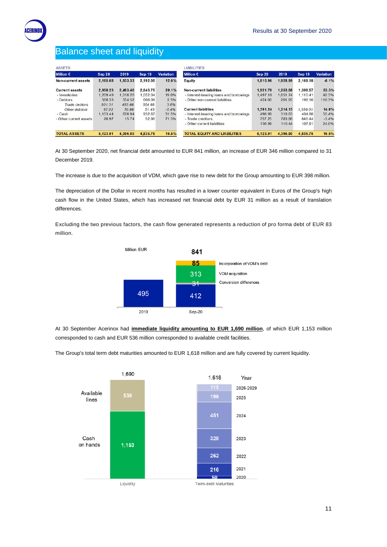## Balance sheet and liquidity

| <b>ASSETS</b>          |          |          |          |                  | <b>LIABILITIES</b>                      |               |          |          |                  |
|------------------------|----------|----------|----------|------------------|-----------------------------------------|---------------|----------|----------|------------------|
| <b>Million €</b>       | Sep 20   | 2019     | Sep 19   | <b>Variation</b> | <b>Million €</b>                        | <b>Sep 20</b> | 2019     | Sep 19   | <b>Variation</b> |
| Non-current assets     | 2.165.68 | 1,933,33 | 2.192.00 | 12.0%            | <b>Equity</b>                           | 1,810.96      | 1,928.99 | 2,168.18 | $-6.1%$          |
| <b>Current assets</b>  | 2.958.23 | 2.463.46 | 2,643.75 | 20.1%            | Non-current liabilities                 | 1,921.70      | 1.253.68 | 1,308.57 | 53.3%            |
| - Inventones           | .209.49  | .016.26  | 1,052.04 | 19.0%            | - Interest-bearing loans and borrowings | 1.497.10      | 1.051.74 | 1.110.41 | 42.3%            |
| - Debtors              | 568.33   | 554.52   | 606.09   | 2.5%             | - Other non-current liabilities         | 424.60        | 201.95   | 198.16   | 110.3%           |
| Trade debtors          | 501.31   | 483.66   | 554.66   | 3.6%             |                                         |               |          |          |                  |
| Other debtors          | 67.02    | 70 86    | 51.43    | $-5.4%$          | <b>Current liabilities</b>              | 1.391.24      | 1.214.13 | 1,359.01 | 14.6%            |
| - Cash                 | 1.153.44 | 876.94   | 932.67   | 31.5%            | - Interest-bearing loans and borrowings | 496.99        | 319.83   | 404.66   | 55.4%            |
| - Other current assets | 26.97    | 15.74    | 52.96    | 71.3%            | - Trade creditors                       | 757.25        | 783.86   | 846.44   | $-3.4%$          |
|                        |          |          |          |                  | - Other current liabilities             | 136.99        | 110.44   | 107.91   | 24.0%            |
| <b>TOTAL ASSETS</b>    | 5.123.91 | 4,396.80 | 4,835.75 | 16.5%            | <b>TOTAL EQUITY AND LIABILITIES</b>     | 5.123.91      | 4,396.80 | 4.835.75 | 16.5%            |

At 30 September 2020, net financial debt amounted to EUR 841 million, an increase of EUR 346 million compared to 31 December 2019.

The increase is due to the acquisition of VDM, which gave rise to new debt for the Group amounting to EUR 398 million.

The depreciation of the Dollar in recent months has resulted in a lower counter equivalent in Euros of the Group's high cash flow in the United States, which has increased net financial debt by EUR 31 million as a result of translation differences.

Excluding the two previous factors, the cash flow generated represents a reduction of pro forma debt of EUR 83 million.



At 30 September Acerinox had **immediate liquidity amounting to EUR 1,690 million**, of which EUR 1,153 million corresponded to cash and EUR 536 million corresponded to available credit facilities.

The Group's total term debt maturities amounted to EUR 1,618 million and are fully covered by current liquidity.

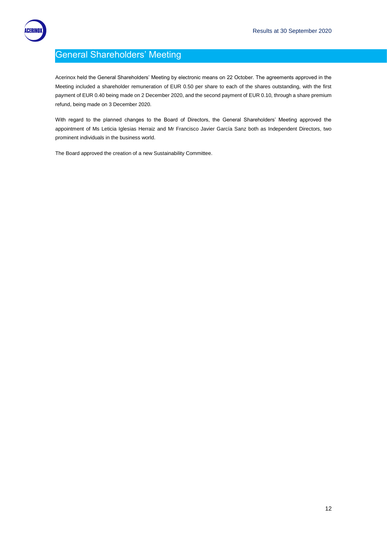

# General Shareholders' Meeting

Acerinox held the General Shareholders' Meeting by electronic means on 22 October. The agreements approved in the Meeting included a shareholder remuneration of EUR 0.50 per share to each of the shares outstanding, with the first payment of EUR 0.40 being made on 2 December 2020, and the second payment of EUR 0.10, through a share premium refund, being made on 3 December 2020.

With regard to the planned changes to the Board of Directors, the General Shareholders' Meeting approved the appointment of Ms Leticia Iglesias Herraiz and Mr Francisco Javier García Sanz both as Independent Directors, two prominent individuals in the business world.

The Board approved the creation of a new Sustainability Committee.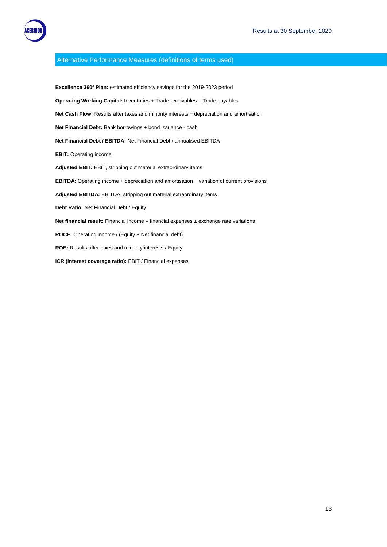

#### Alternative Performance Measures (definitions of terms used)

**Excellence 360º Plan:** estimated efficiency savings for the 2019-2023 period **Operating Working Capital:** Inventories + Trade receivables – Trade payables **Net Cash Flow:** Results after taxes and minority interests + depreciation and amortisation **Net Financial Debt:** Bank borrowings + bond issuance - cash **Net Financial Debt / EBITDA:** Net Financial Debt / annualised EBITDA **EBIT:** Operating income **Adjusted EBIT:** EBIT, stripping out material extraordinary items **EBITDA:** Operating income + depreciation and amortisation + variation of current provisions **Adjusted EBITDA:** EBITDA, stripping out material extraordinary items **Debt Ratio:** Net Financial Debt / Equity **Net financial result:** Financial income – financial expenses ± exchange rate variations **ROCE:** Operating income / (Equity + Net financial debt) **ROE:** Results after taxes and minority interests / Equity **ICR (interest coverage ratio):** EBIT / Financial expenses